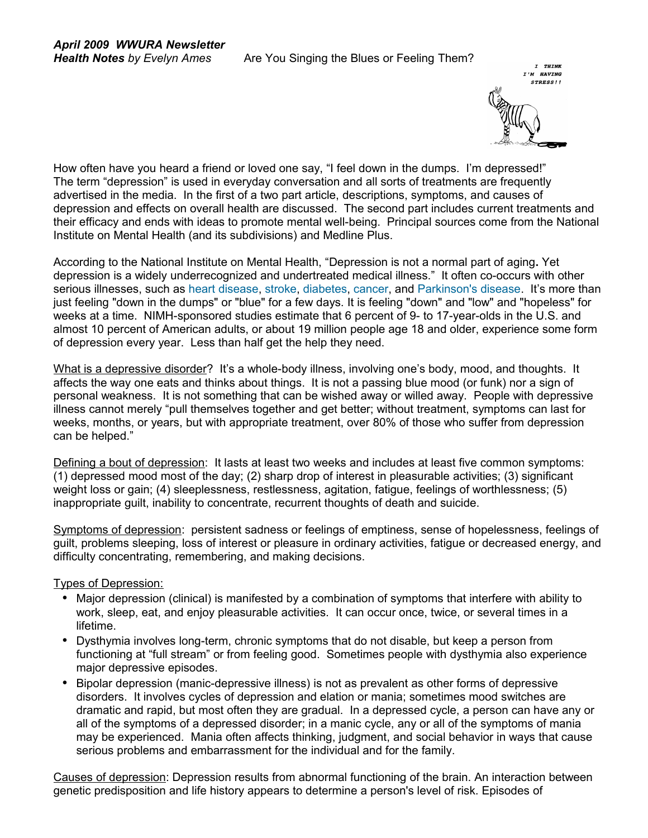

How often have you heard a friend or loved one say, "I feel down in the dumps. I'm depressed!" The term "depression" is used in everyday conversation and all sorts of treatments are frequently advertised in the media. In the first of a two part article, descriptions, symptoms, and causes of depression and effects on overall health are discussed. The second part includes current treatments and their efficacy and ends with ideas to promote mental well-being. Principal sources come from the National Institute on Mental Health (and its subdivisions) and Medline Plus.

According to the National Institute on Mental Health, "Depression is not a normal part of aging**.** Yet depression is a widely underrecognized and undertreated medical illness." It often co-occurs with other serious illnesses, such as [heart disease,](http://www.nimh.nih.gov/publicat/depheart.cfm) [stroke,](http://www.nimh.nih.gov/publicat/depstroke.cfm) [diabetes,](http://www.nimh.nih.gov/publicat/depdiabetes.cfm) [cancer,](http://www.nimh.nih.gov/publicat/depcancer.cfm) and [Parkinson's disease.](http://www.nimh.nih.gov/publicat/depparkinson.cfm) It's more than just feeling "down in the dumps" or "blue" for a few days. It is feeling "down" and "low" and "hopeless" for weeks at a time. NIMH-sponsored studies estimate that 6 percent of 9- to 17-year-olds in the U.S. and almost 10 percent of American adults, or about 19 million people age 18 and older, experience some form of depression every year. Less than half get the help they need.

What is a depressive disorder? It's a whole-body illness, involving one's body, mood, and thoughts. It affects the way one eats and thinks about things. It is not a passing blue mood (or funk) nor a sign of personal weakness. It is not something that can be wished away or willed away. People with depressive illness cannot merely "pull themselves together and get better; without treatment, symptoms can last for weeks, months, or years, but with appropriate treatment, over 80% of those who suffer from depression can be helped."

Defining a bout of depression: It lasts at least two weeks and includes at least five common symptoms: (1) depressed mood most of the day; (2) sharp drop of interest in pleasurable activities; (3) significant weight loss or gain; (4) sleeplessness, restlessness, agitation, fatigue, feelings of worthlessness; (5) inappropriate guilt, inability to concentrate, recurrent thoughts of death and suicide.

Symptoms of depression: persistent sadness or feelings of emptiness, sense of hopelessness, feelings of guilt, problems sleeping, loss of interest or pleasure in ordinary activities, fatigue or decreased energy, and difficulty concentrating, remembering, and making decisions.

## Types of Depression:

- Major depression (clinical) is manifested by a combination of symptoms that interfere with ability to work, sleep, eat, and enjoy pleasurable activities. It can occur once, twice, or several times in a lifetime.
- Dysthymia involves long-term, chronic symptoms that do not disable, but keep a person from functioning at "full stream" or from feeling good. Sometimes people with dysthymia also experience major depressive episodes.
- Bipolar depression (manic-depressive illness) is not as prevalent as other forms of depressive disorders. It involves cycles of depression and elation or mania; sometimes mood switches are dramatic and rapid, but most often they are gradual. In a depressed cycle, a person can have any or all of the symptoms of a depressed disorder; in a manic cycle, any or all of the symptoms of mania may be experienced. Mania often affects thinking, judgment, and social behavior in ways that cause serious problems and embarrassment for the individual and for the family.

Causes of depression: Depression results from abnormal functioning of the brain. An interaction between genetic predisposition and life history appears to determine a person's level of risk. Episodes of